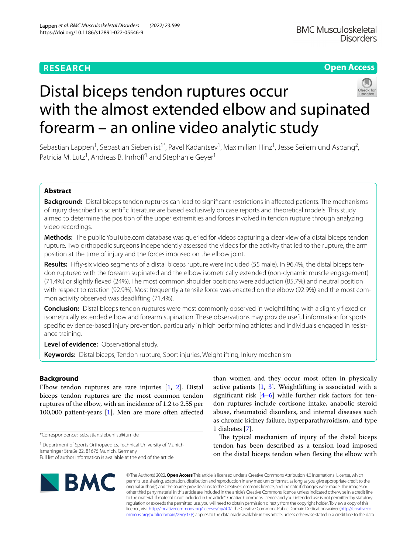# **RESEARCH**

# **Open Access**



# Distal biceps tendon ruptures occur with the almost extended elbow and supinated forearm – an online video analytic study

Sebastian Lappen<sup>1</sup>, Sebastian Siebenlist<sup>1\*</sup>, Pavel Kadantsev<sup>1</sup>, Maximilian Hinz<sup>1</sup>, Jesse Seilern und Aspang<sup>2</sup>, Patricia M. Lutz<sup>1</sup>, Andreas B. Imhoff<sup>1</sup> and Stephanie Geyer<sup>1</sup>

# **Abstract**

**Background:** Distal biceps tendon ruptures can lead to signifcant restrictions in afected patients. The mechanisms of injury described in scientifc literature are based exclusively on case reports and theoretical models. This study aimed to determine the position of the upper extremities and forces involved in tendon rupture through analyzing video recordings.

**Methods:** The public YouTube.com database was queried for videos capturing a clear view of a distal biceps tendon rupture. Two orthopedic surgeons independently assessed the videos for the activity that led to the rupture, the arm position at the time of injury and the forces imposed on the elbow joint.

**Results:** Fifty-six video segments of a distal biceps rupture were included (55 male). In 96.4%, the distal biceps tendon ruptured with the forearm supinated and the elbow isometrically extended (non-dynamic muscle engagement) (71.4%) or slightly fexed (24%). The most common shoulder positions were adduction (85.7%) and neutral position with respect to rotation (92.9%). Most frequently a tensile force was enacted on the elbow (92.9%) and the most common activity observed was deadlifting (71.4%).

**Conclusion:** Distal biceps tendon ruptures were most commonly observed in weightlifting with a slightly fexed or isometrically extended elbow and forearm supination. These observations may provide useful information for sports specifc evidence-based injury prevention, particularly in high performing athletes and individuals engaged in resistance training.

**Level of evidence:** Observational study.

**Keywords:** Distal biceps, Tendon rupture, Sport injuries, Weightlifting, Injury mechanism

# **Background**

Elbow tendon ruptures are rare injuries [[1,](#page-5-0) [2](#page-5-1)]. Distal biceps tendon ruptures are the most common tendon ruptures of the elbow, with an incidence of 1.2 to 2.55 per 100,000 patient-years [[1\]](#page-5-0). Men are more often afected

\*Correspondence: sebastian.siebenlist@tum.de

<sup>1</sup> Department of Sports Orthopaedics, Technical University of Munich, Ismaninger Straße 22, 81675 Munich, Germany

than women and they occur most often in physically active patients [\[1](#page-5-0), [3](#page-5-2)]. Weightlifting is associated with a significant risk  $[4-6]$  $[4-6]$  while further risk factors for tendon ruptures include cortisone intake, anabolic steroid abuse, rheumatoid disorders, and internal diseases such as chronic kidney failure, hyperparathyroidism, and type 1 diabetes [\[7](#page-5-5)].

The typical mechanism of injury of the distal biceps tendon has been described as a tension load imposed on the distal biceps tendon when fexing the elbow with



© The Author(s) 2022. **Open Access** This article is licensed under a Creative Commons Attribution 4.0 International License, which permits use, sharing, adaptation, distribution and reproduction in any medium or format, as long as you give appropriate credit to the original author(s) and the source, provide a link to the Creative Commons licence, and indicate if changes were made. The images or other third party material in this article are included in the article's Creative Commons licence, unless indicated otherwise in a credit line to the material. If material is not included in the article's Creative Commons licence and your intended use is not permitted by statutory regulation or exceeds the permitted use, you will need to obtain permission directly from the copyright holder. To view a copy of this licence, visit [http://creativecommons.org/licenses/by/4.0/.](http://creativecommons.org/licenses/by/4.0/) The Creative Commons Public Domain Dedication waiver ([http://creativeco](http://creativecommons.org/publicdomain/zero/1.0/) [mmons.org/publicdomain/zero/1.0/](http://creativecommons.org/publicdomain/zero/1.0/)) applies to the data made available in this article, unless otherwise stated in a credit line to the data.

Full list of author information is available at the end of the article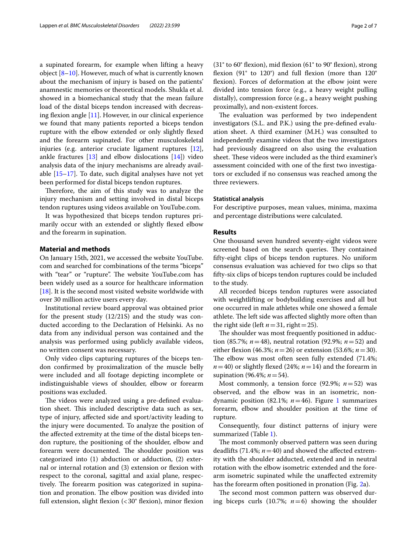a supinated forearm, for example when lifting a heavy object [\[8](#page-5-6)[–10\]](#page-5-7). However, much of what is currently known about the mechanism of injury is based on the patients' anamnestic memories or theoretical models. Shukla et al. showed in a biomechanical study that the mean failure load of the distal biceps tendon increased with decreasing flexion angle  $[11]$  $[11]$ . However, in our clinical experience we found that many patients reported a biceps tendon rupture with the elbow extended or only slightly fexed and the forearm supinated. For other musculoskeletal injuries (e.g. anterior cruciate ligament ruptures [\[12](#page-5-9)], ankle fractures  $[13]$  $[13]$  and elbow dislocations  $[14]$  $[14]$ ) video analysis data of the injury mechanisms are already available [[15–](#page-5-12)[17](#page-5-13)]. To date, such digital analyses have not yet been performed for distal biceps tendon ruptures.

Therefore, the aim of this study was to analyze the injury mechanism and setting involved in distal biceps tendon ruptures using videos available on YouTube.com.

It was hypothesized that biceps tendon ruptures primarily occur with an extended or slightly fexed elbow and the forearm in supination.

# **Material and methods**

On January 15th, 2021, we accessed the website YouTube. com and searched for combinations of the terms "biceps" with "tear" or "rupture". The website YouTube.com has been widely used as a source for healthcare information [[18\]](#page-5-14). It is the second most visited website worldwide with over 30 million active users every day.

Institutional review board approval was obtained prior for the present study (12/21S) and the study was conducted according to the Declaration of Helsinki. As no data from any individual person was contained and the analysis was performed using publicly available videos, no written consent was necessary.

Only video clips capturing ruptures of the biceps tendon confrmed by proximalization of the muscle belly were included and all footage depicting incomplete or indistinguishable views of shoulder, elbow or forearm positions was excluded.

The videos were analyzed using a pre-defined evaluation sheet. This included descriptive data such as sex, type of injury, afected side and sport/activity leading to the injury were documented. To analyze the position of the afected extremity at the time of the distal biceps tendon rupture, the positioning of the shoulder, elbow and forearm were documented. The shoulder position was categorized into (1) abduction or adduction, (2) external or internal rotation and (3) extension or fexion with respect to the coronal, sagittal and axial plane, respectively. The forearm position was categorized in supination and pronation. The elbow position was divided into full extension, slight flexion  $\left( < 30^\circ$  flexion), minor flexion (31° to 60° fexion), mid fexion (61° to 90° fexion), strong fexion (91° to 120°) and full fexion (more than 120° fexion). Forces of deformation at the elbow joint were divided into tension force (e.g., a heavy weight pulling distally), compression force (e.g., a heavy weight pushing proximally), and non-existent forces.

The evaluation was performed by two independent investigators (S.L. and P.K.) using the pre-defned evaluation sheet. A third examiner (M.H.) was consulted to independently examine videos that the two investigators had previously disagreed on also using the evaluation sheet. These videos were included as the third examiner's assessment coincided with one of the frst two investigators or excluded if no consensus was reached among the three reviewers.

#### **Statistical analysis**

For descriptive purposes, mean values, minima, maxima and percentage distributions were calculated.

# **Results**

One thousand seven hundred seventy-eight videos were screened based on the search queries. They contained ffty-eight clips of biceps tendon ruptures. No uniform consensus evaluation was achieved for two clips so that ffty-six clips of biceps tendon ruptures could be included to the study.

All recorded biceps tendon ruptures were associated with weightlifting or bodybuilding exercises and all but one occurred in male athletes while one showed a female athlete. The left side was affected slightly more often than the right side (left  $n=31$ , right = 25).

The shoulder was most frequently positioned in adduction (85.7%; *n*=48), neutral rotation (92.9%; *n*=52) and either flexion (46.3%;  $n = 26$ ) or extension (53.6%;  $n = 30$ ). The elbow was most often seen fully extended (71.4%;  $n=40$ ) or slightly flexed (24%;  $n=14$ ) and the forearm in supination (96.4%; *n*=54).

Most commonly, a tension force  $(92.9\%; n=52)$  was observed, and the elbow was in an isometric, nondynamic position (82.1%; *n*=46). Figure [1](#page-2-0) summarizes forearm, elbow and shoulder position at the time of rupture.

Consequently, four distinct patterns of injury were summarized (Table [1\)](#page-3-0).

The most commonly observed pattern was seen during deadlifts  $(71.4\%; n=40)$  and showed the affected extremity with the shoulder adducted, extended and in neutral rotation with the elbow isometric extended and the forearm isometric supinated while the unafected extremity has the forearm often positioned in pronation (Fig. [2a](#page-4-0)).

The second most common pattern was observed during biceps curls (10.7%;  $n=6$ ) showing the shoulder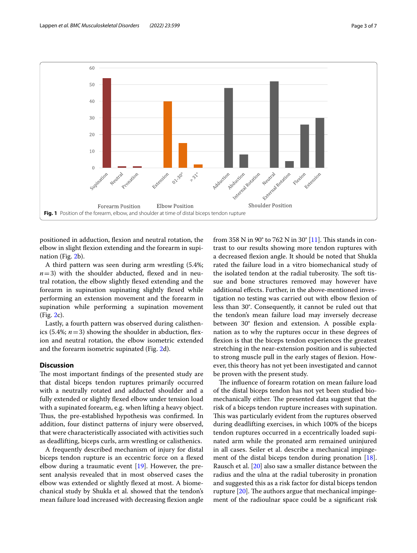

<span id="page-2-0"></span>positioned in adduction, fexion and neutral rotation, the elbow in slight fexion extending and the forearm in supination (Fig. [2b](#page-4-0)).

A third pattern was seen during arm wrestling (5.4%;  $n=3$ ) with the shoulder abducted, flexed and in neutral rotation, the elbow slightly fexed extending and the forearm in supination supinating slightly fexed while performing an extension movement and the forearm in supination while performing a supination movement (Fig. [2c](#page-4-0)).

Lastly, a fourth pattern was observed during calisthenics (5.4%;  $n=3$ ) showing the shoulder in abduction, flexion and neutral rotation, the elbow isometric extended and the forearm isometric supinated (Fig. [2d](#page-4-0)).

# **Discussion**

The most important findings of the presented study are that distal biceps tendon ruptures primarily occurred with a neutrally rotated and adducted shoulder and a fully extended or slightly flexed elbow under tension load with a supinated forearm, e.g. when lifting a heavy object. Thus, the pre-established hypothesis was confirmed. In addition, four distinct patterns of injury were observed, that were characteristically associated with activities such as deadlifting, biceps curls, arm wrestling or calisthenics.

A frequently described mechanism of injury for distal biceps tendon rupture is an eccentric force on a fexed elbow during a traumatic event [[19\]](#page-6-0). However, the present analysis revealed that in most observed cases the elbow was extended or slightly fexed at most. A biomechanical study by Shukla et al. showed that the tendon's mean failure load increased with decreasing flexion angle from 358 N in 90 $\degree$  to 762 N in 30 $\degree$  [\[11](#page-5-8)]. This stands in contrast to our results showing more tendon ruptures with a decreased fexion angle. It should be noted that Shukla rated the failure load in a vitro biomechanical study of the isolated tendon at the radial tuberosity. The soft tissue and bone structures removed may however have additional efects. Further, in the above-mentioned investigation no testing was carried out with elbow fexion of less than 30°. Consequently, it cannot be ruled out that the tendon's mean failure load may inversely decrease between 30° flexion and extension. A possible explanation as to why the ruptures occur in these degrees of fexion is that the biceps tendon experiences the greatest stretching in the near-extension position and is subjected to strong muscle pull in the early stages of flexion. However, this theory has not yet been investigated and cannot be proven with the present study.

The influence of forearm rotation on mean failure load of the distal biceps tendon has not yet been studied biomechanically either. The presented data suggest that the risk of a biceps tendon rupture increases with supination. This was particularly evident from the ruptures observed during deadlifting exercises, in which 100% of the biceps tendon ruptures occurred in a eccentrically loaded supinated arm while the pronated arm remained uninjured in all cases. Seiler et al. describe a mechanical impingement of the distal biceps tendon during pronation [\[18](#page-5-14)]. Rausch et al. [[20\]](#page-6-1) also saw a smaller distance between the radius and the ulna at the radial tuberosity in pronation and suggested this as a risk factor for distal biceps tendon rupture  $[20]$  $[20]$ . The authors argue that mechanical impingement of the radioulnar space could be a signifcant risk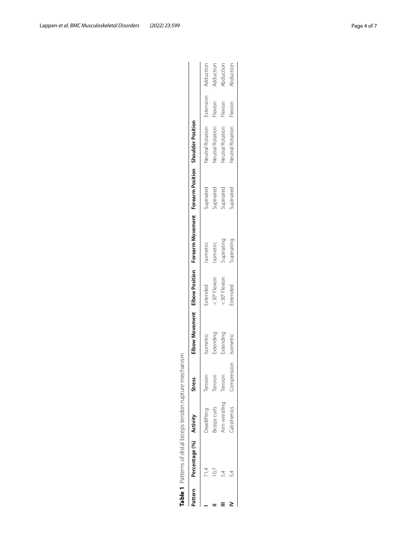<span id="page-3-0"></span>

|        | <b>Table 1</b> Patterns of distal | j                             | indon rupture mechanism |                      |         |                                                                                   |         |                  |        |
|--------|-----------------------------------|-------------------------------|-------------------------|----------------------|---------|-----------------------------------------------------------------------------------|---------|------------------|--------|
| attern | rcentage (%                       | Ē                             | <b>Stress</b>           |                      |         | Elbow Movement Elbow Position Forearm Movement Forearm Position Shoulder Position |         |                  |        |
|        |                                   | fting<br>.<br>קב <sub>ו</sub> | iension                 | isometr <sup>i</sup> | vtandad | ometric                                                                           | ninatec | leutral Rotation | -xtens |

| Pattern | Percentage (%) Activity |                    | <b>Stress</b> | <b>Ibow Movement</b> | Elbow Position | Forearm Movement | Forearm Position       | shoulder Position |           |           |
|---------|-------------------------|--------------------|---------------|----------------------|----------------|------------------|------------------------|-------------------|-----------|-----------|
|         |                         | Deadlifting        | Tension       | sometric             | xtended        | sometrio         | jupinated              | Jeutral Rotation  | Extension | Adduction |
|         |                         | iceps curls        | Tension       | xtending             | -30° Flexion.  | sometric         |                        | leutral Rotation  | Flexion   | Adduction |
|         |                         | um wrestling       | Tension       | Extending            | : 30° Flexion  | juinating        | Supinated<br>Supinated | leutral Rotation  | Flexion   | Aduction  |
|         |                         | <b>alisthenics</b> | Compression   | sometric             | xtended        | upinating        | iupinated              | leutral Rotation  | Flexion   | Abduction |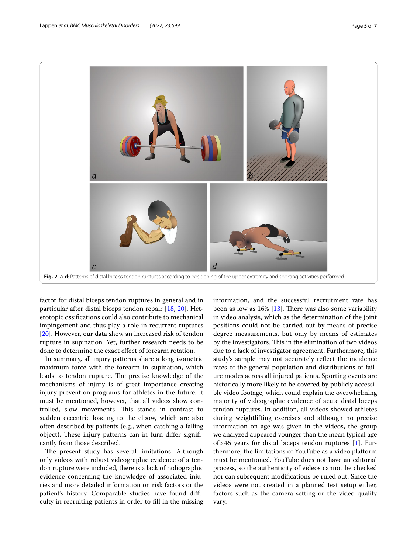

<span id="page-4-0"></span>factor for distal biceps tendon ruptures in general and in particular after distal biceps tendon repair [[18](#page-5-14), [20\]](#page-6-1). Heterotopic ossifcations could also contribute to mechanical impingement and thus play a role in recurrent ruptures [[20\]](#page-6-1). However, our data show an increased risk of tendon rupture in supination. Yet, further research needs to be done to determine the exact efect of forearm rotation.

In summary, all injury patterns share a long isometric maximum force with the forearm in supination, which leads to tendon rupture. The precise knowledge of the mechanisms of injury is of great importance creating injury prevention programs for athletes in the future. It must be mentioned, however, that all videos show controlled, slow movements. This stands in contrast to sudden eccentric loading to the elbow, which are also often described by patients (e.g., when catching a falling object). These injury patterns can in turn differ significantly from those described.

The present study has several limitations. Although only videos with robust videographic evidence of a tendon rupture were included, there is a lack of radiographic evidence concerning the knowledge of associated injuries and more detailed information on risk factors or the patient's history. Comparable studies have found difficulty in recruiting patients in order to fll in the missing information, and the successful recruitment rate has been as low as  $16\%$  [[13\]](#page-5-10). There was also some variability in video analysis, which as the determination of the joint positions could not be carried out by means of precise degree measurements, but only by means of estimates by the investigators. This in the elimination of two videos due to a lack of investigator agreement. Furthermore, this study's sample may not accurately refect the incidence rates of the general population and distributions of failure modes across all injured patients. Sporting events are historically more likely to be covered by publicly accessible video footage, which could explain the overwhelming majority of videographic evidence of acute distal biceps tendon ruptures. In addition, all videos showed athletes during weightlifting exercises and although no precise information on age was given in the videos, the group we analyzed appeared younger than the mean typical age of > 45 years for distal biceps tendon ruptures  $[1]$  $[1]$ . Furthermore, the limitations of YouTube as a video platform must be mentioned. YouTube does not have an editorial process, so the authenticity of videos cannot be checked nor can subsequent modifcations be ruled out. Since the videos were not created in a planned test setup either, factors such as the camera setting or the video quality vary.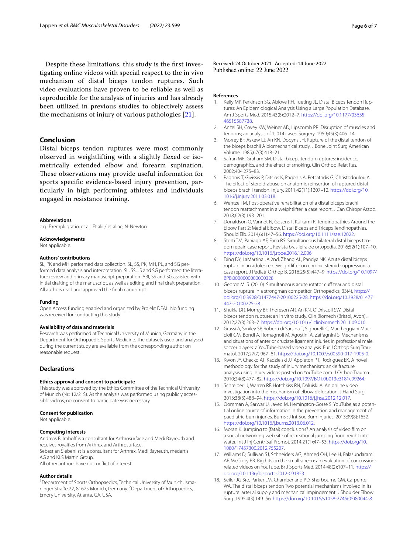Despite these limitations, this study is the frst investigating online videos with special respect to the in vivo mechanism of distal biceps tendon ruptures. Such video evaluations have proven to be reliable as well as reproducible for the analysis of injuries and has already been utilized in previous studies to objectively assess the mechanisms of injury of various pathologies [\[21](#page-6-2)].

# **Conclusion**

Distal biceps tendon ruptures were most commonly observed in weightlifting with a slightly fexed or isometrically extended elbow and forearm supination. These observations may provide useful information for sports specifc evidence-based injury prevention, particularly in high performing athletes and individuals engaged in resistance training.

#### **Abbreviations**

e.g.: Exempli gratio; et al.: Et alii / et aliae; N: Newton.

#### **Acknowledgements**

Not applicable.

#### **Authors' contributions**

SL, PK and MH performed data collection. SL, SS, PK, MH, PL, and SG performed data analysis and interpretation. SL, SS, JS and SG performed the literature review and primary manuscript preparation. ABI, SS and SG assisted with initial drafting of the manuscript, as well as editing and fnal draft preparation. All authors read and approved the fnal manuscript.

#### **Funding**

Open Access funding enabled and organized by Projekt DEAL. No funding was received for conducting this study.

#### **Availability of data and materials**

Research was performed at Technical University of Munich, Germany in the Department for Orthopaedic Sports Medicine. The datasets used and analysed during the current study are available from the corresponding author on reasonable request.

### **Declarations**

# **Ethics approval and consent to participate**

This study was approved by the Ethics Committee of the Technical University of Munich (Nr.: 12/21S). As the analysis was performed using publicly accessible videos, no consent to participate was necessary.

#### **Consent for publication**

Not applicable.

#### **Competing interests**

Andreas B. Imhoff is a consultant for Arthrosurface and Medi Bayreuth and receives royalties from Arthrex and Arthrosurface. Sebastian Siebenlist is a consultant for Arthrex, Medi Bayreuth, medartis AG and KLS Martin Group.

All other authors have no confict of interest.

#### **Author details**

<sup>1</sup> Department of Sports Orthopaedics, Technical University of Munich, Ismaninger Straße 22, 81675 Munich, Germany. <sup>2</sup> Department of Orthopaedics, Emory University, Atlanta, GA, USA.

Received: 24 October 2021 Accepted: 14 June 2022<br>Published online: 22 June 2022

#### **References**

- <span id="page-5-0"></span>1. Kelly MP, Perkinson SG, Ablove RH, Tueting JL. Distal Biceps Tendon Ruptures: An Epidemiological Analysis Using a Large Population Database. Am J Sports Med. 2015;43(8):2012–7. [https://doi.org/10.1177/03635](https://doi.org/10.1177/0363546515587738) [46515587738.](https://doi.org/10.1177/0363546515587738)
- <span id="page-5-1"></span>2. Anzel SH, Covey KW, Weiner AD, Lipscomb PR. Disruption of muscles and tendons; an analysis of 1, 014 cases. Surgery. 1959;45(3):406–14.
- <span id="page-5-2"></span>3. Morrey BF, Askew LJ, An KN, Dobyns JH. Rupture of the distal tendon of the biceps brachii A biomechanical study. J Bone Joint Surg American Volume. 1985;67(3):418–21.
- <span id="page-5-3"></span>Safran MR, Graham SM. Distal biceps tendon ruptures: incidence, demographics, and the efect of smoking. Clin Orthop Relat Res. 2002;404:275–83.
- 5. Pagonis T, Givissis P, Ditsios K, Pagonis A, Petsatodis G, Christodoulou A. The effect of steroid-abuse on anatomic reinsertion of ruptured distal biceps brachii tendon. Injury. 2011;42(11):1307–12. [https://doi.org/10.](https://doi.org/10.1016/j.injury.2011.03.018) [1016/j.injury.2011.03.018](https://doi.org/10.1016/j.injury.2011.03.018).
- <span id="page-5-4"></span>6. Wentzell M. Post-operative rehabilitation of a distal biceps brachii tendon reattachment in a weightlifter: a case report. J Can Chiropr Assoc. 2018;62(3):193–201.
- <span id="page-5-5"></span>7. Donaldson O, Vannet N, Gosens T, Kulkarni R. Tendinopathies Around the Elbow Part 2: Medial Elbow, Distal Biceps and Triceps Tendinopathies. Should Elb. 2014;6(1):47–56. [https://doi.org/10.1111/sae.12022.](https://doi.org/10.1111/sae.12022)
- <span id="page-5-6"></span>8. Storti TM, Paniago AF, Faria RS. Simultaneous bilateral distal biceps tendon repair: case report. Revista brasileira de ortopedia. 2016;52(1):107–10. <https://doi.org/10.1016/j.rboe.2016.12.006>.
- 9. Ding DY, LaMartina JA 2nd, Zhang AL, Pandya NK. Acute distal biceps rupture in an adolescent weightlifter on chronic steroid suppression: a case report. J Pediatr Orthop B. 2016;25(5):447–9. [https://doi.org/10.1097/](https://doi.org/10.1097/BPB.0000000000000328) [BPB.0000000000000328.](https://doi.org/10.1097/BPB.0000000000000328)
- <span id="page-5-7"></span>10. George M. S. (2010). Simultaneous acute rotator cuff tear and distal biceps rupture in a strongman competitor. Orthopedics, 33(4), [https://](https://doi.org/10.3928/01477447-20100225-28) [doi.org/10.3928/01477447-20100225-28.](https://doi.org/10.3928/01477447-20100225-28) [https://doi.org/10.3928/01477](https://doi.org/10.3928/01477447-20100225-28) [447-20100225-28.](https://doi.org/10.3928/01477447-20100225-28)
- <span id="page-5-8"></span>11. Shukla DR, Morrey BF, Thoreson AR, An KN, O'Driscoll SW. Distal biceps tendon rupture: an in vitro study. Clin Biomech (Bristol, Avon). 2012;27(3):263–7.<https://doi.org/10.1016/j.clinbiomech.2011.09.010>.
- <span id="page-5-9"></span>12. Grassi A, Smiley SP, Roberti di Sarsina T, Signorelli C, Marcheggiani Muccioli GM, Bondi A, Romagnoli M, Agostini A, Zafagnini S. Mechanisms and situations of anterior cruciate ligament injuries in professional male soccer players: a YouTube-based video analysis. Eur J Orthop Surg Traumatol. 2017;27(7):967–81.<https://doi.org/10.1007/s00590-017-1905-0>.
- <span id="page-5-10"></span>13. Kwon JY, Chacko AT, Kadzielski JJ, Appleton PT, Rodriguez EK. A novel methodology for the study of injury mechanism: ankle fracture analysis using injury videos posted on YouTube.com. J Orthop Trauma. 2010;24(8):477–82. [https://doi.org/10.1097/BOT.0b013e3181c99264.](https://doi.org/10.1097/BOT.0b013e3181c99264)
- <span id="page-5-11"></span>14. Schreiber JJ, Warren RF, Hotchkiss RN, Daluiski A. An online video investigation into the mechanism of elbow dislocation. J Hand Surg. 2013;38(3):488–94. <https://doi.org/10.1016/j.jhsa.2012.12.017>.
- <span id="page-5-12"></span>15. Oomman A, Sarwar U, Javed M, Hemington-Gorse S. YouTube as a potential online source of information in the prevention and management of paediatric burn injuries. Burns : J Int Soc Burn Injuries. 2013;39(8):1652. <https://doi.org/10.1016/j.burns.2013.06.012>.
- 16. Moran K. Jumping to (fatal) conclusions? An analysis of video flm on a social networking web site of recreational jumping from height into water. Int J Inj Contr Saf Promot. 2014;21(1):47–53. [https://doi.org/10.](https://doi.org/10.1080/17457300.2012.755207) [1080/17457300.2012.755207](https://doi.org/10.1080/17457300.2012.755207).
- <span id="page-5-13"></span>17. Williams D, Sullivan SJ, Schneiders AG, Ahmed OH, Lee H, Balasundaram AP, McCrory PR. Big hits on the small screen: an evaluation of concussionrelated videos on YouTube. Br J Sports Med. 2014;48(2):107–11. [https://](https://doi.org/10.1136/bjsports-2012-091853) [doi.org/10.1136/bjsports-2012-091853.](https://doi.org/10.1136/bjsports-2012-091853)
- <span id="page-5-14"></span>18. Seiler JG 3rd, Parker LM, Chamberland PD, Sherbourne GM, Carpenter WA. The distal biceps tendon Two potential mechanisms involved in its rupture: arterial supply and mechanical impingement. J Shoulder Elbow Surg. 1995;4(3):149–56. [https://doi.org/10.1016/s1058-2746\(05\)80044-8](https://doi.org/10.1016/s1058-2746(05)80044-8).